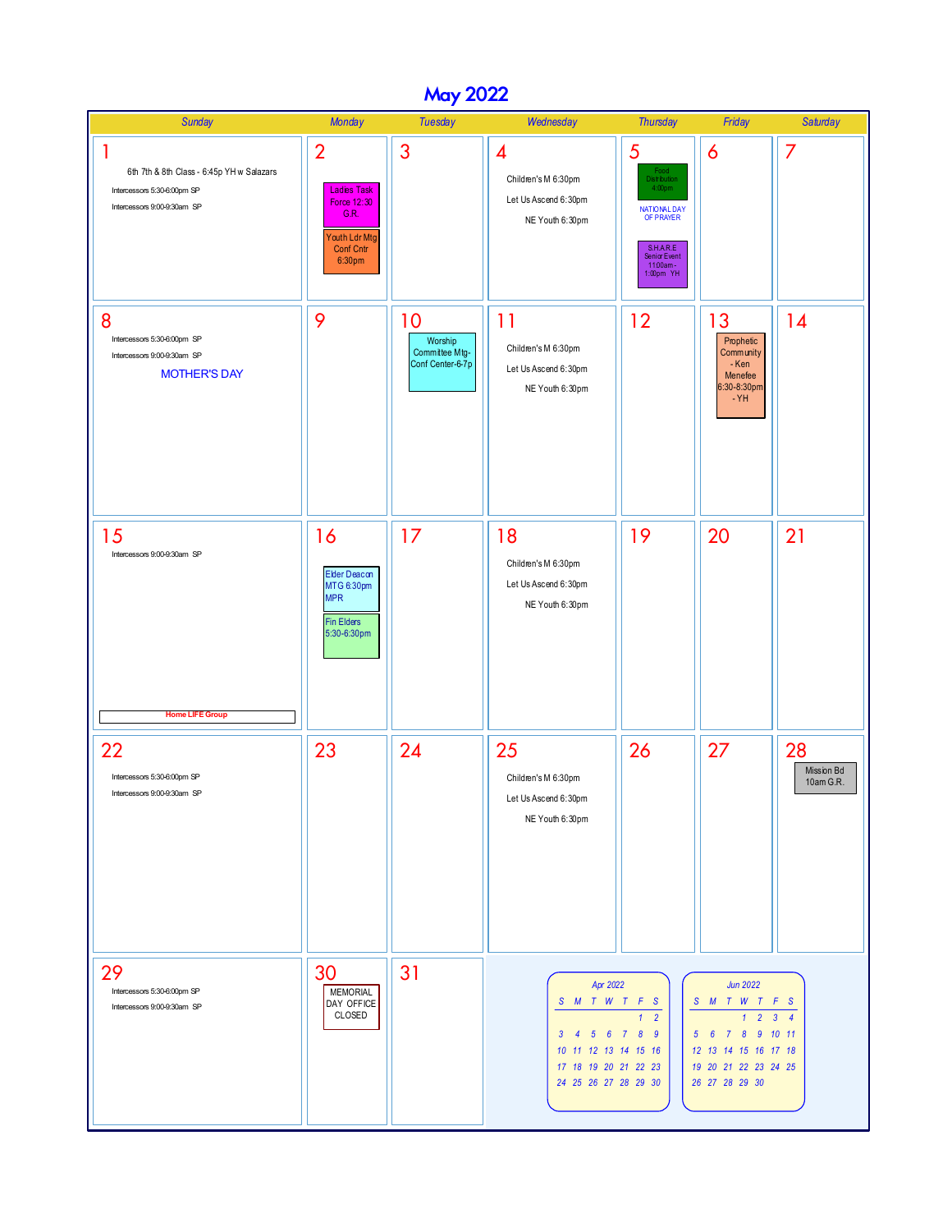## May 2022

| <b>Sunday</b>                                                                                                | <b>Monday</b>                                                                                              | <b>Tuesday</b>                                      | Wednesday                                                                                                                   | <b>Thursday</b>                                                                                                                                   | Friday                                                                                                                                                               | <b>Saturday</b>                |
|--------------------------------------------------------------------------------------------------------------|------------------------------------------------------------------------------------------------------------|-----------------------------------------------------|-----------------------------------------------------------------------------------------------------------------------------|---------------------------------------------------------------------------------------------------------------------------------------------------|----------------------------------------------------------------------------------------------------------------------------------------------------------------------|--------------------------------|
| 1<br>6th 7th & 8th Class - 6:45p YH w Salazars<br>Intercessors 5:30-6:00pm SP<br>Intercessors 9:00-9:30am SP | $\overline{2}$<br><b>Ladies Task</b><br>Force 12:30<br>G.R.<br>Youth Ldr Mtg<br><b>Conf Cntr</b><br>6:30pm | 3                                                   | $\overline{\mathcal{A}}$<br>Children's M 6:30pm<br>Let Us Ascend 6:30pm<br>NE Youth 6:30pm                                  | 5<br>Food<br><b>Distribution</b><br>4:00 <sub>pm</sub><br>NATIONAL DAY<br>OF PRAYER<br>S.H.AR.E<br><b>Senior Event</b><br>11:00am-<br>$1:00pm$ YH | 6                                                                                                                                                                    | 7                              |
| 8<br>Intercessors 5:30-6:00pm SP<br>Intercessors 9:00-9:30am SP<br><b>MOTHER'S DAY</b>                       | 9                                                                                                          | 10<br>Worship<br>Committee Mtg-<br>Conf Center-6-7p | 11<br>Children's M 6:30pm<br>Let Us Ascend 6:30pm<br>NE Youth 6:30pm                                                        | 12                                                                                                                                                | 13<br>Prophetic<br>Community<br>- Ken<br>Menefee<br>6:30-8:30pm<br>$-YH$                                                                                             | 14                             |
| 15<br>Intercessors 9:00-9:30am SP<br><b>Home LIFE Group</b>                                                  | 16<br>Elder Deacon<br>MTG 6:30pm<br><b>MPR</b><br><b>Fin Elders</b><br>5:30-6:30pm                         | 17                                                  | 18<br>Children's M 6:30pm<br>Let Us Ascend 6:30pm<br>NE Youth 6:30pm                                                        | 19                                                                                                                                                | 20                                                                                                                                                                   | 21                             |
| 22<br>Intercessors 5:30-6:00pm SP<br>Intercessors 9:00-9:30am SP                                             | 23                                                                                                         | 24                                                  | 25<br>Children's M 6:30pm<br>Let Us Ascend 6:30pm<br>NE Youth 6:30pm                                                        | 26                                                                                                                                                | 27                                                                                                                                                                   | 28<br>Mission Bd<br>10am G.R.  |
| 29<br>Intercessors 5:30-6:00pm SP<br>Intercessors 9:00-9:30am SP                                             | 30<br><b>MEMORIAL</b><br>DAY OFFICE<br>CLOSED                                                              | 31                                                  | Apr 2022<br>S M T W T F S<br>5 6 7 8<br>$3 \quad 4$<br>10 11 12 13 14 15 16<br>17 18 19 20 21 22 23<br>24 25 26 27 28 29 30 | $\mathbf{1}$<br>$\overline{2}$<br>$\overline{9}$                                                                                                  | <b>Jun 2022</b><br>S M T W T F S<br>$\mathbf{1}$<br>8 <sup>1</sup><br>$5\quad 6$<br>$\overline{7}$<br>12 13 14 15 16 17 18<br>19 20 21 22 23 24 25<br>26 27 28 29 30 | $2 \quad 3 \quad 4$<br>9 10 11 |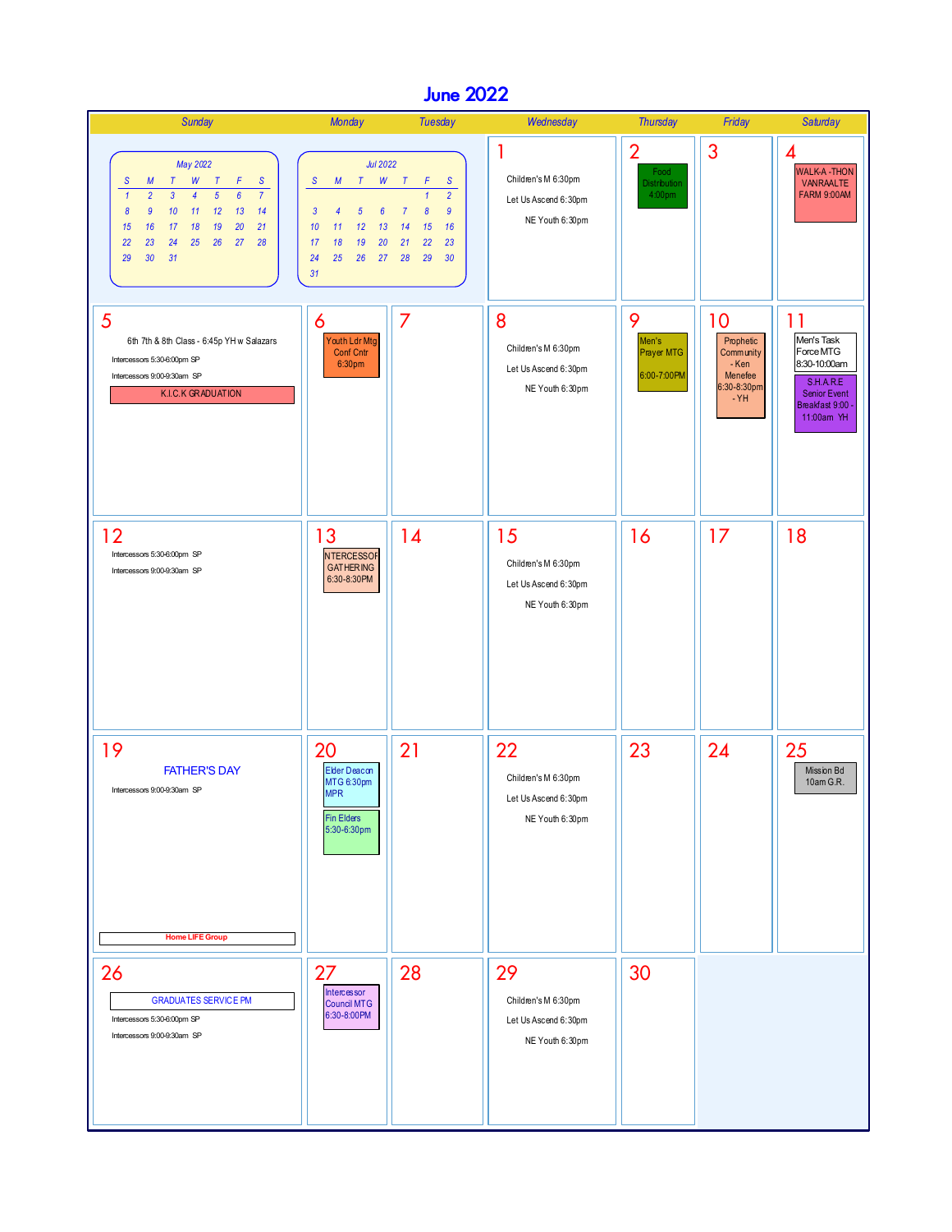## June 2022